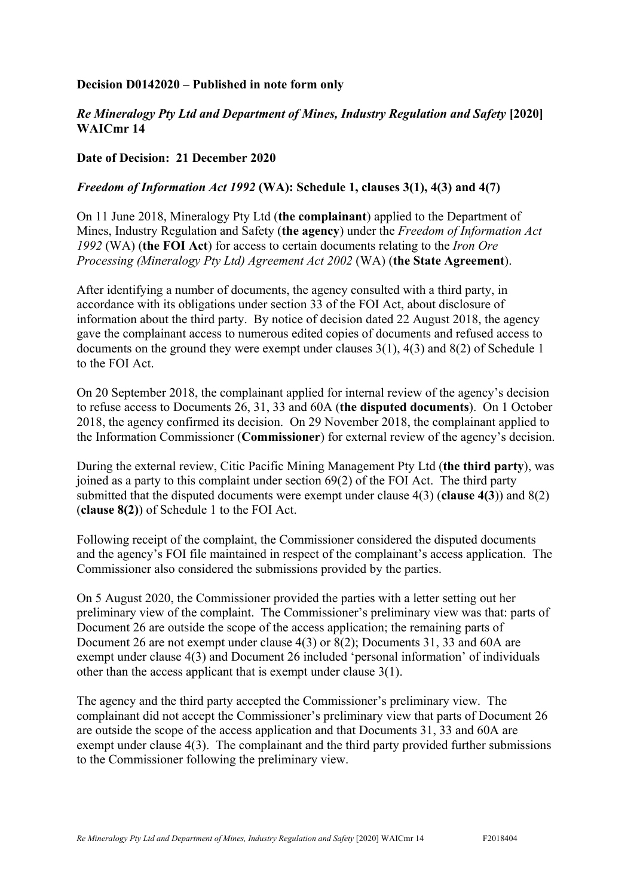## **Decision D0142020 – Published in note form only**

## *Re Mineralogy Pty Ltd and Department of Mines, Industry Regulation and Safety* **[2020] WAICmr 14**

## **Date of Decision: 21 December 2020**

## *Freedom of Information Act 1992* **(WA): Schedule 1, clauses 3(1), 4(3) and 4(7)**

On 11 June 2018, Mineralogy Pty Ltd (**the complainant**) applied to the Department of Mines, Industry Regulation and Safety (**the agency**) under the *Freedom of Information Act 1992* (WA) (**the FOI Act**) for access to certain documents relating to the *Iron Ore Processing (Mineralogy Pty Ltd) Agreement Act 2002* (WA) (**the State Agreement**).

After identifying a number of documents, the agency consulted with a third party, in accordance with its obligations under section 33 of the FOI Act, about disclosure of information about the third party. By notice of decision dated 22 August 2018, the agency gave the complainant access to numerous edited copies of documents and refused access to documents on the ground they were exempt under clauses 3(1), 4(3) and 8(2) of Schedule 1 to the FOI Act.

On 20 September 2018, the complainant applied for internal review of the agency's decision to refuse access to Documents 26, 31, 33 and 60A (**the disputed documents**). On 1 October 2018, the agency confirmed its decision. On 29 November 2018, the complainant applied to the Information Commissioner (**Commissioner**) for external review of the agency's decision.

During the external review, Citic Pacific Mining Management Pty Ltd (**the third party**), was joined as a party to this complaint under section 69(2) of the FOI Act. The third party submitted that the disputed documents were exempt under clause 4(3) (**clause 4(3**)) and 8(2) (**clause 8(2)**) of Schedule 1 to the FOI Act.

Following receipt of the complaint, the Commissioner considered the disputed documents and the agency's FOI file maintained in respect of the complainant's access application. The Commissioner also considered the submissions provided by the parties.

On 5 August 2020, the Commissioner provided the parties with a letter setting out her preliminary view of the complaint. The Commissioner's preliminary view was that: parts of Document 26 are outside the scope of the access application; the remaining parts of Document 26 are not exempt under clause 4(3) or 8(2); Documents 31, 33 and 60A are exempt under clause 4(3) and Document 26 included 'personal information' of individuals other than the access applicant that is exempt under clause 3(1).

The agency and the third party accepted the Commissioner's preliminary view. The complainant did not accept the Commissioner's preliminary view that parts of Document 26 are outside the scope of the access application and that Documents 31, 33 and 60A are exempt under clause 4(3). The complainant and the third party provided further submissions to the Commissioner following the preliminary view.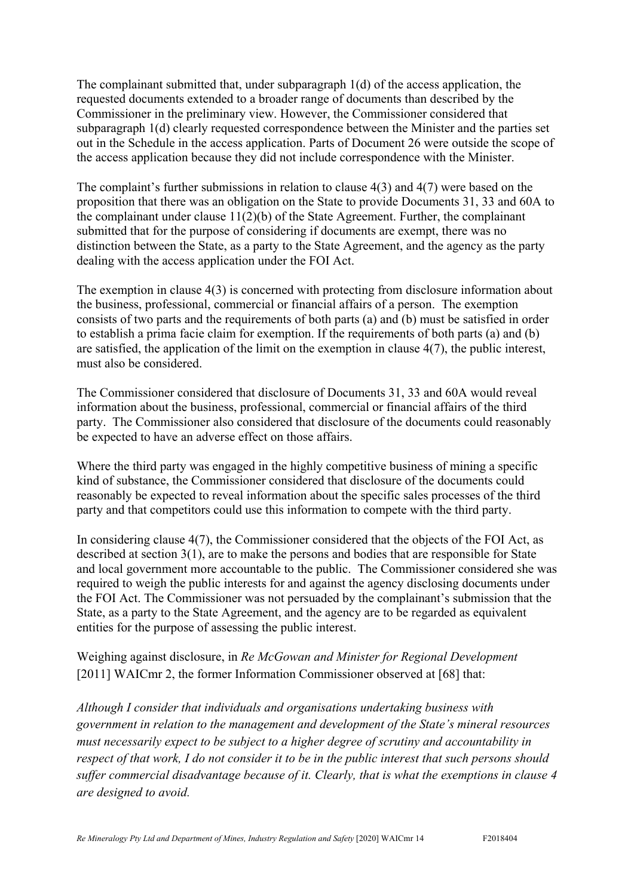The complainant submitted that, under subparagraph 1(d) of the access application, the requested documents extended to a broader range of documents than described by the Commissioner in the preliminary view. However, the Commissioner considered that subparagraph 1(d) clearly requested correspondence between the Minister and the parties set out in the Schedule in the access application. Parts of Document 26 were outside the scope of the access application because they did not include correspondence with the Minister.

The complaint's further submissions in relation to clause 4(3) and 4(7) were based on the proposition that there was an obligation on the State to provide Documents 31, 33 and 60A to the complainant under clause 11(2)(b) of the State Agreement. Further, the complainant submitted that for the purpose of considering if documents are exempt, there was no distinction between the State, as a party to the State Agreement, and the agency as the party dealing with the access application under the FOI Act.

The exemption in clause 4(3) is concerned with protecting from disclosure information about the business, professional, commercial or financial affairs of a person. The exemption consists of two parts and the requirements of both parts (a) and (b) must be satisfied in order to establish a prima facie claim for exemption. If the requirements of both parts (a) and (b) are satisfied, the application of the limit on the exemption in clause 4(7), the public interest, must also be considered.

The Commissioner considered that disclosure of Documents 31, 33 and 60A would reveal information about the business, professional, commercial or financial affairs of the third party. The Commissioner also considered that disclosure of the documents could reasonably be expected to have an adverse effect on those affairs.

Where the third party was engaged in the highly competitive business of mining a specific kind of substance, the Commissioner considered that disclosure of the documents could reasonably be expected to reveal information about the specific sales processes of the third party and that competitors could use this information to compete with the third party.

In considering clause 4(7), the Commissioner considered that the objects of the FOI Act, as described at section 3(1), are to make the persons and bodies that are responsible for State and local government more accountable to the public. The Commissioner considered she was required to weigh the public interests for and against the agency disclosing documents under the FOI Act. The Commissioner was not persuaded by the complainant's submission that the State, as a party to the State Agreement, and the agency are to be regarded as equivalent entities for the purpose of assessing the public interest.

Weighing against disclosure, in *Re McGowan and Minister for Regional Development*  [2011] WAICmr 2, the former Information Commissioner observed at [68] that:

*Although I consider that individuals and organisations undertaking business with government in relation to the management and development of the State's mineral resources must necessarily expect to be subject to a higher degree of scrutiny and accountability in respect of that work, I do not consider it to be in the public interest that such persons should suffer commercial disadvantage because of it. Clearly, that is what the exemptions in clause 4 are designed to avoid.*